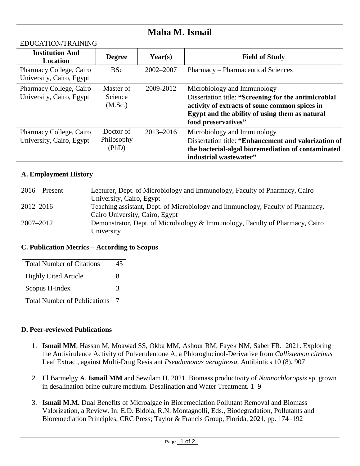## **Maha M. Ismail**

| EDUCATION/TRAINING                                  |                                  |               |                                                                                                                                                                                                               |
|-----------------------------------------------------|----------------------------------|---------------|---------------------------------------------------------------------------------------------------------------------------------------------------------------------------------------------------------------|
| <b>Institution And</b><br>Location                  | <b>Degree</b>                    | Year(s)       | <b>Field of Study</b>                                                                                                                                                                                         |
| Pharmacy College, Cairo<br>University, Cairo, Egypt | <b>BSc</b>                       | $2002 - 2007$ | Pharmacy – Pharmaceutical Sciences                                                                                                                                                                            |
| Pharmacy College, Cairo<br>University, Cairo, Egypt | Master of<br>Science<br>(M.Sc.)  | 2009-2012     | Microbiology and Immunology<br>Dissertation title: "Screening for the antimicrobial<br>activity of extracts of some common spices in<br>Egypt and the ability of using them as natural<br>food preservatives" |
| Pharmacy College, Cairo<br>University, Cairo, Egypt | Doctor of<br>Philosophy<br>(PhD) | 2013-2016     | Microbiology and Immunology<br>Dissertation title: "Enhancement and valorization of<br>the bacterial-algal bioremediation of contaminated<br>industrial wastewater"                                           |

## **A. Employment History**

EDUCATION/TRAINING

| $2016$ – Present | Lecturer, Dept. of Microbiology and Immunology, Faculty of Pharmacy, Cairo     |
|------------------|--------------------------------------------------------------------------------|
|                  | University, Cairo, Egypt                                                       |
| 2012–2016        | Teaching assistant, Dept. of Microbiology and Immunology, Faculty of Pharmacy, |
|                  | Cairo University, Cairo, Egypt                                                 |
| $2007 - 2012$    | Demonstrator, Dept. of Microbiology & Immunology, Faculty of Pharmacy, Cairo   |
|                  | University                                                                     |

## **C. Publication Metrics – According to Scopus**

| <b>Total Number of Citations</b>    |  |  |
|-------------------------------------|--|--|
| <b>Highly Cited Article</b>         |  |  |
| Scopus H-index                      |  |  |
| <b>Total Number of Publications</b> |  |  |

## **D. Peer-reviewed Publications**

- 1. **Ismail MM**, Hassan M, Moawad SS, Okba MM, Ashour RM, Fayek NM, Saber FR. 2021. Exploring the Antivirulence Activity of Pulverulentone A, a Phloroglucinol-Derivative from *Callistemon citrinus* Leaf Extract, against Multi-Drug Resistant *Pseudomonas aeruginosa*. Antibiotics 10 (8), 907
- 2. El Barmelgy A, **Ismail MM** and Sewilam H. 2021. Biomass productivity of *Nannochloropsis* sp. grown in desalination brine culture medium. Desalination and Water Treatment. 1–9
- 3. **Ismail M.M.** Dual Benefits of Microalgae in Bioremediation Pollutant Removal and Biomass Valorization, a Review. In: E.D. Bidoia, R.N. Montagnolli, Eds., Biodegradation, Pollutants and Bioremediation Principles, CRC Press; Taylor & Francis Group, Florida, 2021, pp. 174–192